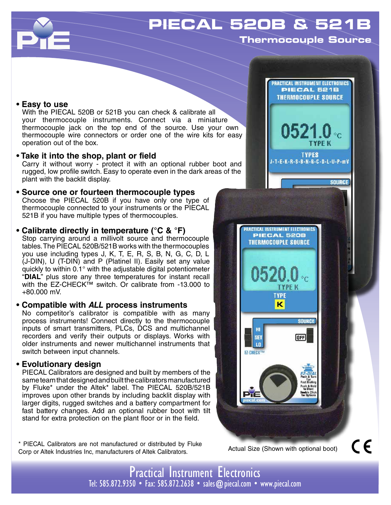

# **PIECAL 520B & 521B**

**Thermocouple Source**

## **• Easy to use**

With the PIECAL 520B or 521B you can check & calibrate all your thermocouple instruments. Connect via a miniature thermocouple jack on the top end of the source. Use your own thermocouple wire connectors or order one of the wire kits for easy operation out of the box.

## **• Take it into the shop, plant or field**

Carry it without worry - protect it with an optional rubber boot and rugged, low profile switch. Easy to operate even in the dark areas of the plant with the backlit display.

## **• Source one or fourteen thermocouple types** Choose the PIECAL 520B if you have only one type of thermocouple connected to your instruments or the PIECAL 521B if you have multiple types of thermocouples.

# **• Calibrate directly in temperature (°C & °F)**

Stop carrying around a millivolt source and thermocouple tables. The PIECAL 520B/521B works with the thermocouples you use including types J, K, T, E, R, S, B, N, G, C, D, L (J-DIN), U (T-DIN) and P (Platinel II). Easily set any value quickly to within 0.1° with the adjustable digital potentiometer "**DIAL**" plus store any three temperatures for instant recall with the EZ-CHECK™ switch. Or calibrate from -13,000 to +80.000 mV.

## **• Compatible with** *ALL* **process instruments**

No competitor's calibrator is compatible with as many process instruments! Connect directly to the thermocouple inputs of smart transmitters, PLCs, DCS and multichannel recorders and verify their outputs or displays. Works with older instruments and newer multichannel instruments that switch between input channels.

# **• Evolutionary design**

PIECAL Calibrators are designed and built by members of the same team that designed and built the calibrators manufactured by Fluke\* under the Altek\* label. The PIECAL 520B/521B improves upon other brands by including backlit display with larger digits, rugged switches and a battery compartment for fast battery changes. Add an optional rubber boot with tilt stand for extra protection on the plant floor or in the field.

\* PIECAL Calibrators are not manufactured or distributed by Fluke Corp or Altek Industries Inc, manufacturers of Altek Calibrators.



Actual Size (Shown with optional boot)

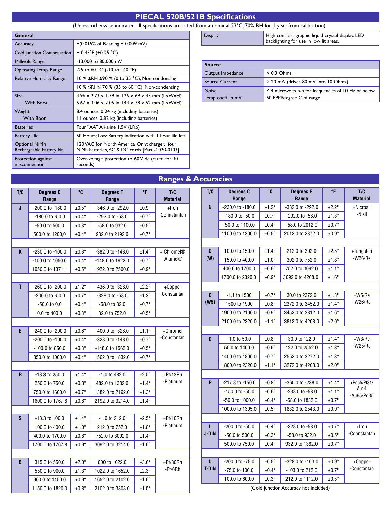# **PIECAL 520B/521B Specifications**

#### (Unless otherwise indicated all specifications are rated from a nominal 23°C, 70% RH for 1 year from calibration)

| General                                         |                                                             |
|-------------------------------------------------|-------------------------------------------------------------|
| Accuracy                                        | $\pm (0.015\% \text{ of Reading} + 0.009 \text{ mV})$       |
| Cold Junction Compensation                      | $\pm$ 0.45°F ( $\pm$ 0.25 °C)                               |
| Millivolt Range                                 | -13.000 to 80.000 mV                                        |
| Operating Temp. Range                           | -25 to 60 °C (-10 to 140 °F)                                |
| Relative Humidity Range                         | 10 % ≤RH ≤90 % (0 to 35 °C), Non-condensing                 |
|                                                 | 10 % $\leq$ RH $\leq$ 70 % (35 to 60 °C), Non-condensing    |
| <b>Size</b>                                     | $4.96 \times 2.73 \times 1.79$ in, 126 x 69 x 45 mm (LxWxH) |
| <b>With Boot</b>                                | $5.67 \times 3.06 \times 2.05$ in, 144 x 78 x 52 mm (LxWxH) |
| Weight                                          | 8.4 ounces, 0.24 kg (including batteries)                   |
| <b>With Boot</b>                                | 11 ounces, 0.32 kg (including batteries)                    |
| <b>Batteries</b>                                | Four "AA" Alkaline 1.5V (LR6)                               |
| <b>Battery Life</b>                             | 50 Hours; Low Battery indication with I hour life left      |
| Optional NiMh                                   | 120 VAC for North America Only; charger, four               |
| Rechargeable battery kit                        | NiMh batteries, AC & DC cords [Part # 020-0103]             |
| Protection against<br>misconnection<br>seconds) | Over-voltage protection to 60V dc (rated for 30             |

Display **High contrast graphic liquid crystal display. LED** backlighting for use in low lit areas.

| <b>Source</b>         |                                                           |  |
|-----------------------|-----------------------------------------------------------|--|
| Output Impedance      | $< 0.3$ Ohms                                              |  |
| <b>Source Current</b> | > 20 mA (drives 80 mV into 10 Ohms)                       |  |
| <b>Noise</b>          | $\leq$ 4 microvolts p-p for frequencies of 10 Hz or below |  |
| Temp coeff. in mV     | 50 PPM/degree C of range                                  |  |

# **T/C Degrees C Range °C Degrees F Range °F T/C Material J** -200.0 to -180.0  $\pm 0.5^\circ$  -346.0 to -292.0  $\pm 0.9^\circ$  +Iron  $-180.0$  to  $-50.0$   $\pm 0.4^{\circ}$   $-292.0$  to  $-58.0$   $\pm 0.7^{\circ}$   $\pm 0.7^{\circ}$   $\pm 0.0$  + Connstantan  $-50.0$  to 500.0  $\left| \begin{array}{c} \pm 0.3^{\circ} \end{array} \right|$   $-58.0$  to 932.0  $\left| \begin{array}{c} \pm 0.5^{\circ} \end{array} \right|$ 500.0 to 1200,0  $\left| 10.4^\circ \right|$  932.0 to 2192.0  $\left| 10.7^\circ \right|$ **K** -230.0 to -100.0 ±0.8° -382.0 to -148.0 ±1.4° + Chromel®  $-100.0$  to 1050.0  $\pm 0.4^\circ$   $-148.0$  to 1922.0  $\pm 0.7^\circ$  -Alumel® 1050.0 to 1371.1  $\vert$   $\pm 0.5^\circ$  | 1922.0 to 2500.0 |  $\pm 0.9^\circ$ **T**  $\begin{array}{|c|c|c|c|c|c|c|c|} \hline \end{array}$  -260.0 to -200.0  $\begin{array}{|c|c|c|c|c|c|c|c|} \hline \end{array}$  -436.0 to -328.0  $\begin{array}{|c|c|c|c|c|c|c|c|} \hline \end{array}$  +Copper  $-200.0$  to  $-50.0$   $\pm 0.7^\circ$   $-328.0$  to  $-58.0$   $\pm 1.3^\circ$   $-$ Constantan  $-50.0$  to 0.0  $\left| \pm 0.4^{\circ} \right|$   $-58.0$  to 32.0  $\left| \pm 0.7^{\circ} \right|$ 0.0 to 400.0  $\left| \begin{array}{c} \pm 0.3^{\circ} \end{array} \right|$  32.0 to 752.0  $\left| \begin{array}{c} \pm 0.5^{\circ} \end{array} \right|$ **E**  $\begin{array}{|c|c|c|c|c|c|c|c|} \hline \end{array}$  -0.0  $\begin{array}{|c|c|c|c|c|c|c|c|} \hline \end{array}$  -400.0 to -328.0  $\begin{array}{|c|c|c|c|c|c|c|c|} \hline \end{array}$  +Chromel  $-200.0$  to  $-100.0$   $\left| \begin{array}{c} \pm 0.4^{\circ} \end{array} \right|$   $-328.0$  to  $-148.0$   $\left| \begin{array}{c} \pm 0.7^{\circ} \end{array} \right|$   $-constant$ an  $-100.0$  to 850.0  $\left| \begin{array}{c} 1.3^{\circ} \\ 0.3^{\circ} \end{array} \right|$  -148.0 to 1562.0  $\left| \begin{array}{c} 1.5^{\circ} \\ 0.5^{\circ} \end{array} \right|$ 850.0 to 1000.0  $\left| \begin{array}{c} \pm 0.4^\circ \end{array} \right|$  1562.0 to 1832.0  $\left| \begin{array}{c} \pm 0.7^\circ \end{array} \right|$ **R**  $\vert$  -13.3 to 250.0  $\vert$   $\pm$ 1.4°  $\vert$  -1.0 to 482.0  $\vert$   $\pm$ 2.5°  $\vert$   $\vert$  +Pt/13Rh 250.0 to 750.0  $\left| \begin{array}{c|c} \pm 0.8^{\circ} & \text{482.0 to 1382.0} \end{array} \right|$   $\left| \begin{array}{c|c} \pm 1.4^{\circ} & \text{Platinum} \end{array} \right|$ 750.0 to 1600.0  $\vert$   $\pm$ 0.7°  $\vert$  1382.0 to 2192.0  $\vert$   $\pm$ 1.3° 1600.0 to 1767.8  $\vert$  ±0.8°  $\vert$  2192.0 to 3214.0  $\vert$  ±1.4° **S** -18.3 to 100.0  $\pm 1.4^\circ$  -1.0 to 212.0  $\pm 2.5^\circ$  +Pt/10Rh 100.0 to 400.0  $\left| \begin{array}{c|c} \pm 1.0^{\circ} & \text{212.0 to } 752.0 & \pm 1.8^{\circ} \end{array} \right|$  -Platinum 400.0 to 1700.0  $\left| \begin{array}{c} \pm 0.8^{\circ} \end{array} \right|$  752.0 to 3092.0  $\left| \begin{array}{c} \pm 1.4^{\circ} \end{array} \right|$ 1700.0 to 1767.8  $\vert$   $\pm 0.9^\circ$  3092.0 to 3214.0  $\vert$   $\pm 1.6^\circ$ **B** 315.6 to 550.0  $\pm 2.0^{\circ}$  600 to 1022.0  $\pm 3.6^{\circ}$  +Pt/30Rh  $\frac{1}{250.0}$  to 900.0  $\frac{1}{21.3°}$  1022.0 to 1652.0  $\frac{1}{22.3°}$  Pt/6Rh

900.0 to 1150.0  $\left| \begin{array}{c} \pm 0.9^{\circ} \end{array} \right|$  1652.0 to 2102.0  $\left| \begin{array}{c} \pm 1.6^{\circ} \end{array} \right|$ 1150.0 to 1820.0  $\vert$   $\pm 0.8^\circ$  2102.0 to 3308.0  $\vert$   $\pm 1.5^\circ$ 

# **Ranges & Accuracies**

| T/C          | Degrees C<br>Range | °C                | <b>Degrees F</b><br>Range | °F                | T/C<br><b>Material</b> |
|--------------|--------------------|-------------------|---------------------------|-------------------|------------------------|
| N            | -230.0 to -180.0   | ±1.2°             | -382.0 to -292.0          | ±2.2°             | +Nicrosil              |
|              | -180.0 to -50.0    | $±0.7^{\circ}$    | -292.0 to -58.0           | $±1.3^\circ$      | -Nisil                 |
|              | -50.0 to 1100.0    | $±0.4^{\circ}$    | -58.0 to 2012.0           | ±0.7°             |                        |
|              | 1100.0 to 1300.0   | $±0.5^{\circ}$    | 2012.0 to 2372.0          | $±0.9^{\circ}$    |                        |
|              |                    |                   |                           |                   |                        |
| G            | 100.0 to 150.0     | $±1.4^\circ$      | 212.0 to 302.0            | $±2.5^{\circ}$    | +Tungsten              |
| (W)          | 150.0 to 400.0     | $±1.0^\circ$      | 302.0 to 752.0            | $±1.8^\circ$      | $-W26/Re$              |
|              | 400.0 to 1700.0    | $±0.6^{\circ}$    | 752.0 to 3092.0           | $±1.1^{\circ}$    |                        |
|              | 1700.0 to 2320.0   | $\pm 0.9^{\circ}$ | 3092.0 to 4208.0          | $±1.6^{\circ}$    |                        |
|              |                    |                   |                           |                   |                        |
| C            | $-1.1$ to $1500$   | $±0.7^{\circ}$    | 30.0 to 2372.0            | $±1.3^\circ$      | $+W5/Re$               |
| (W5)         | 1500 to 1900       | $±0.8^{\circ}$    | 2372.0 to 3452.0          | $±1.4^\circ$      | $-W26/Re$              |
|              | 1900.0 to 2100.0   | $±0.9^{\circ}$    | 3452.0 to 3812.0          | $±1.6^{\circ}$    |                        |
|              | 2100.0 to 2320.0   | $±1.1^{\circ}$    | 3812.0 to 4208.0          | $±2.0^{\circ}$    |                        |
|              |                    |                   |                           |                   |                        |
| D            | $-1.0$ to $50.0$   | $±0.8^\circ$      | 30.0 to 122.0             | $±1.4^{\circ}$    | $+W3/Re$               |
|              | 50.0 to 1400.0     | $±0.6^\circ$      | 122.0 to 2552.0           | $±1.3^\circ$      | $-W25/Re$              |
|              | 1400.0 to 1800.0   | $±0.7^{\circ}$    | 2552.0 to 3272.0          | $±1.3^\circ$      |                        |
|              | 1800.0 to 2320.0   | $±1.1^{\circ}$    | 3272.0 to 4208.0          | $±2.0^\circ$      |                        |
|              |                    |                   |                           |                   |                        |
| P            | -217.8 to -150.0   | $±0.8^\circ$      | -360.0 to -238.0          | $±1.4^\circ$      | +Pd55/Pt31/            |
|              | -150.0 to -50.0    | $±0.6^\circ$      | -238.0 to -58.0           | ±1.1°             | Au14<br>-Au65/Pd35     |
|              | -50.0 to 1000.0    | $\pm 0.4^{\circ}$ | -58.0 to 1832.0           | ±0.7°             |                        |
|              | 1000.0 to 1395.0   | $±0.5^{\circ}$    | 1832.0 to 2543.0          | $±0.9^\circ$      |                        |
|              |                    |                   |                           |                   |                        |
| L            | -200.0 to -50.0    | $±0.4^{\circ}$    | -328.0 to -58.0           | ±0.7°             | +Iron                  |
| <b>J-DIN</b> | -50.0 to 500.0     | $±0.3^\circ$      | -58.0 to 932.0            | $\pm 0.5^{\circ}$ | -Connstantan           |
|              | 500.0 to 750.0     | $±0.4^{\circ}$    | 932.0 to 1382.0           | ±0.7°             |                        |
|              |                    |                   |                           |                   |                        |
| U            | -200.0 to -75.0    | $±0.5^{\circ}$    | -328.0 to -103.0          | $±0.9^{\circ}$    | +Copper                |
| <b>T-DIN</b> | -75.0 to 100.0     | $±0.4^{\circ}$    | -103.0 to 212.0           | ±0.7°             | -Constantan            |
|              | 100.0 to 600.0     | $±0.3^{\circ}$    | 212.0 to 1112.0           | $±0.5^\circ$      |                        |

(Cold Junction Accuracy not included)